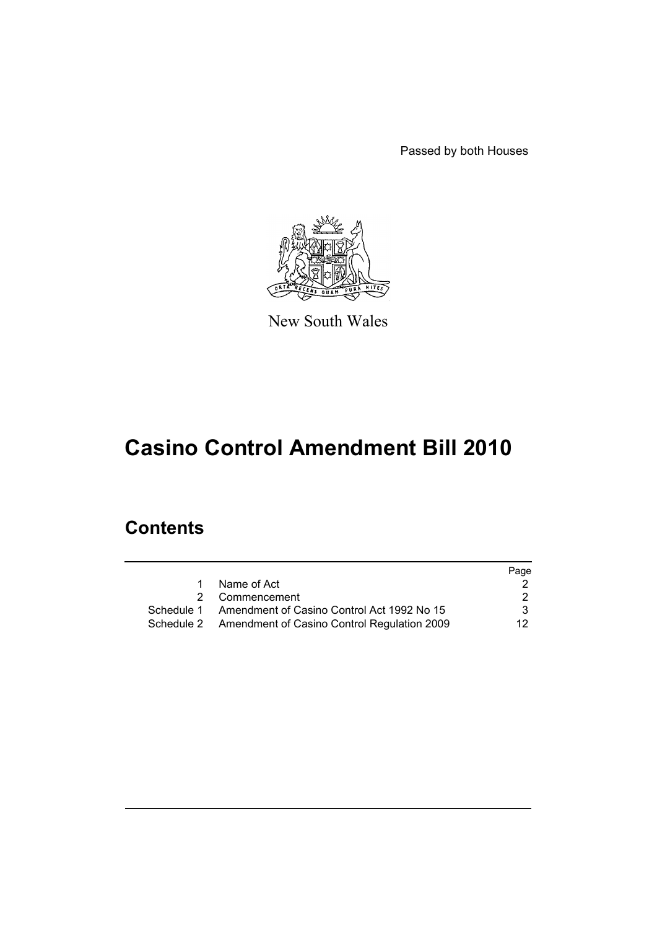Passed by both Houses



New South Wales

# **Casino Control Amendment Bill 2010**

# **Contents**

|                                                        | Page |
|--------------------------------------------------------|------|
| Name of Act                                            |      |
| 2 Commencement                                         | 2    |
| Schedule 1 Amendment of Casino Control Act 1992 No 15  | 3    |
| Schedule 2 Amendment of Casino Control Regulation 2009 | 12.  |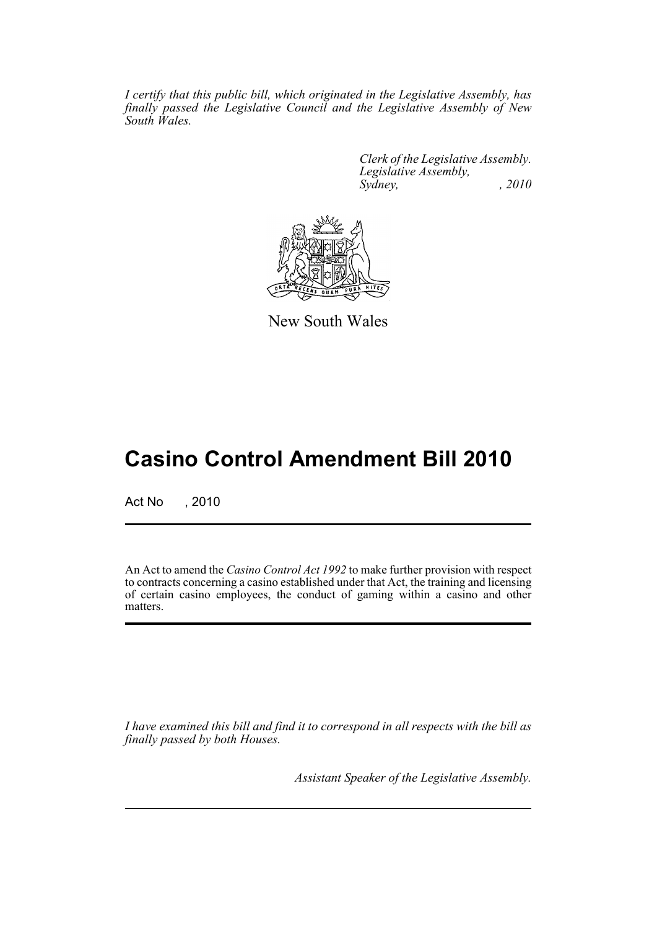*I certify that this public bill, which originated in the Legislative Assembly, has finally passed the Legislative Council and the Legislative Assembly of New South Wales.*

> *Clerk of the Legislative Assembly. Legislative Assembly, Sydney, , 2010*



New South Wales

# **Casino Control Amendment Bill 2010**

Act No , 2010

An Act to amend the *Casino Control Act 1992* to make further provision with respect to contracts concerning a casino established under that Act, the training and licensing of certain casino employees, the conduct of gaming within a casino and other matters.

*I have examined this bill and find it to correspond in all respects with the bill as finally passed by both Houses.*

*Assistant Speaker of the Legislative Assembly.*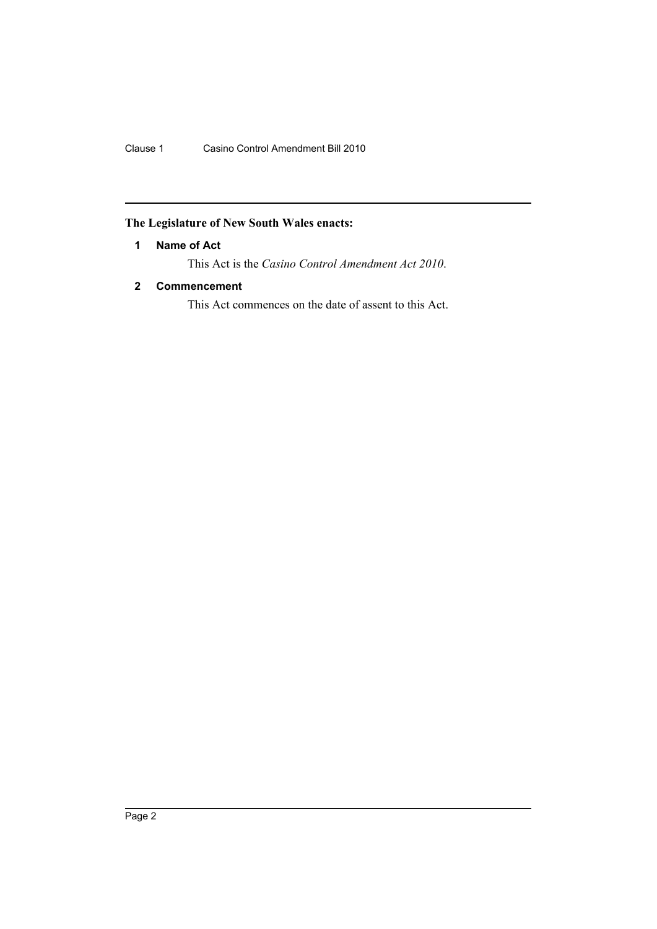## <span id="page-2-0"></span>**The Legislature of New South Wales enacts:**

## **1 Name of Act**

This Act is the *Casino Control Amendment Act 2010*.

## <span id="page-2-1"></span>**2 Commencement**

This Act commences on the date of assent to this Act.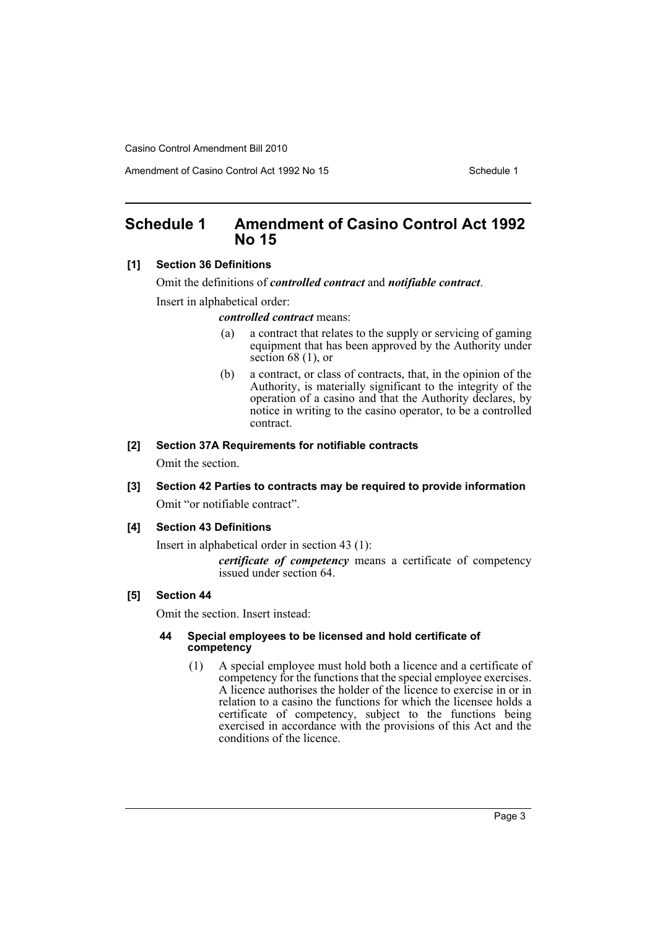Amendment of Casino Control Act 1992 No 15 Schedule 1

## <span id="page-3-0"></span>**Schedule 1 Amendment of Casino Control Act 1992 No 15**

## **[1] Section 36 Definitions**

Omit the definitions of *controlled contract* and *notifiable contract*.

Insert in alphabetical order:

*controlled contract* means:

- (a) a contract that relates to the supply or servicing of gaming equipment that has been approved by the Authority under section 68 (1), or
- (b) a contract, or class of contracts, that, in the opinion of the Authority, is materially significant to the integrity of the operation of a casino and that the Authority declares, by notice in writing to the casino operator, to be a controlled contract.

## **[2] Section 37A Requirements for notifiable contracts**

Omit the section.

# **[3] Section 42 Parties to contracts may be required to provide information**

Omit "or notifiable contract".

## **[4] Section 43 Definitions**

Insert in alphabetical order in section 43 (1):

*certificate of competency* means a certificate of competency issued under section 64.

## **[5] Section 44**

Omit the section. Insert instead:

#### **44 Special employees to be licensed and hold certificate of competency**

(1) A special employee must hold both a licence and a certificate of competency for the functions that the special employee exercises. A licence authorises the holder of the licence to exercise in or in relation to a casino the functions for which the licensee holds a certificate of competency, subject to the functions being exercised in accordance with the provisions of this Act and the conditions of the licence.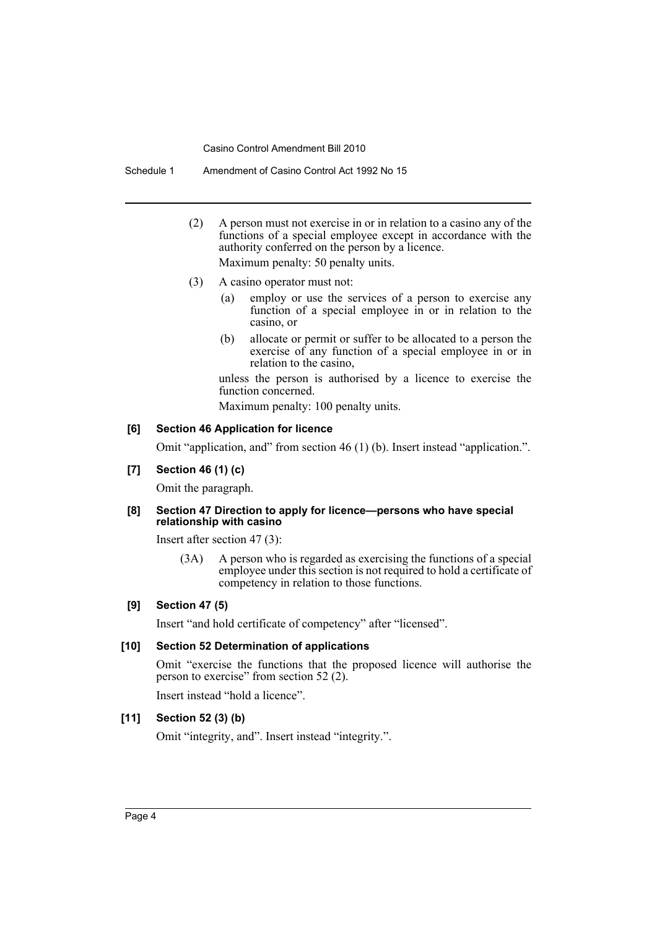Schedule 1 Amendment of Casino Control Act 1992 No 15

- (2) A person must not exercise in or in relation to a casino any of the functions of a special employee except in accordance with the authority conferred on the person by a licence. Maximum penalty: 50 penalty units.
- (3) A casino operator must not:
	- (a) employ or use the services of a person to exercise any function of a special employee in or in relation to the casino, or
	- (b) allocate or permit or suffer to be allocated to a person the exercise of any function of a special employee in or in relation to the casino,

unless the person is authorised by a licence to exercise the function concerned.

Maximum penalty: 100 penalty units.

#### **[6] Section 46 Application for licence**

Omit "application, and" from section 46 (1) (b). Insert instead "application.".

#### **[7] Section 46 (1) (c)**

Omit the paragraph.

#### **[8] Section 47 Direction to apply for licence—persons who have special relationship with casino**

Insert after section 47 (3):

(3A) A person who is regarded as exercising the functions of a special employee under this section is not required to hold a certificate of competency in relation to those functions.

#### **[9] Section 47 (5)**

Insert "and hold certificate of competency" after "licensed".

#### **[10] Section 52 Determination of applications**

Omit "exercise the functions that the proposed licence will authorise the person to exercise" from section 52 (2).

Insert instead "hold a licence".

### **[11] Section 52 (3) (b)**

Omit "integrity, and". Insert instead "integrity.".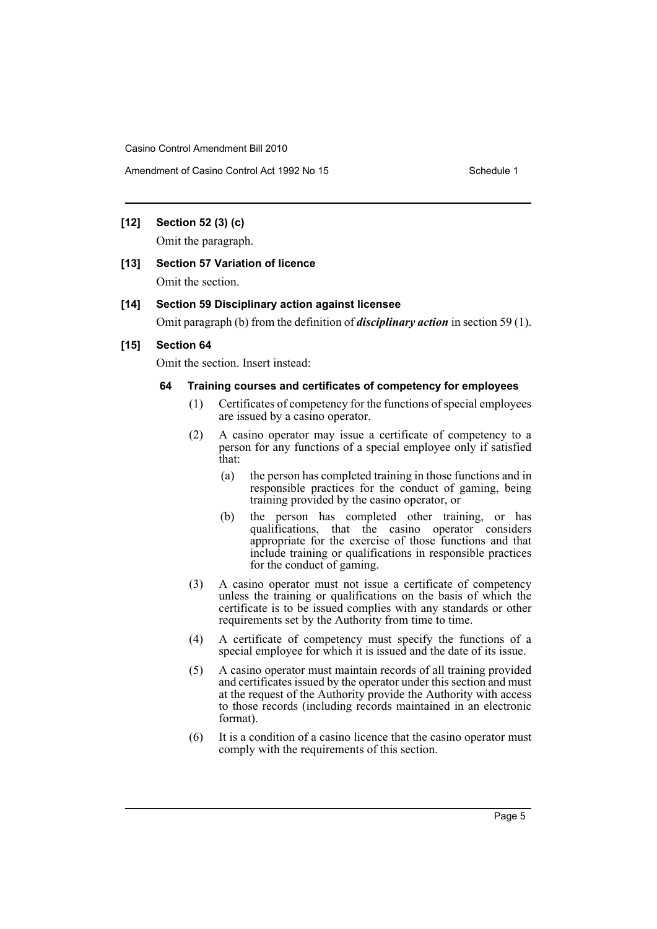## **[12] Section 52 (3) (c)**

Omit the paragraph.

# **[13] Section 57 Variation of licence**

Omit the section.

## **[14] Section 59 Disciplinary action against licensee**

Omit paragraph (b) from the definition of *disciplinary action* in section 59 (1).

## **[15] Section 64**

Omit the section. Insert instead:

## **64 Training courses and certificates of competency for employees**

- (1) Certificates of competency for the functions of special employees are issued by a casino operator.
- (2) A casino operator may issue a certificate of competency to a person for any functions of a special employee only if satisfied that:
	- (a) the person has completed training in those functions and in responsible practices for the conduct of gaming, being training provided by the casino operator, or
	- (b) the person has completed other training, or has qualifications, that the casino operator considers appropriate for the exercise of those functions and that include training or qualifications in responsible practices for the conduct of gaming.
- (3) A casino operator must not issue a certificate of competency unless the training or qualifications on the basis of which the certificate is to be issued complies with any standards or other requirements set by the Authority from time to time.
- (4) A certificate of competency must specify the functions of a special employee for which it is issued and the date of its issue.
- (5) A casino operator must maintain records of all training provided and certificates issued by the operator under this section and must at the request of the Authority provide the Authority with access to those records (including records maintained in an electronic format).
- (6) It is a condition of a casino licence that the casino operator must comply with the requirements of this section.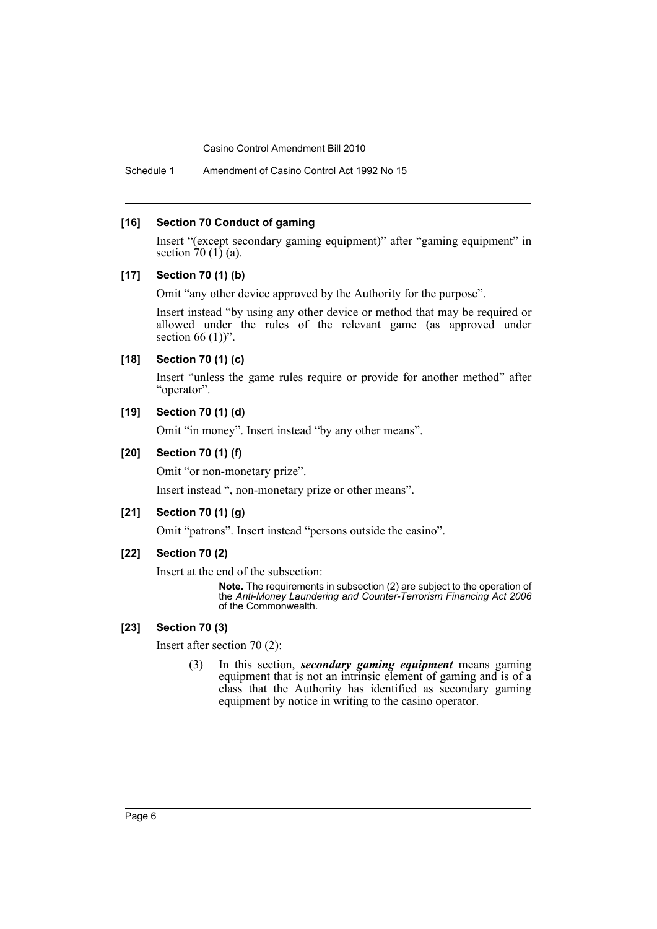Schedule 1 Amendment of Casino Control Act 1992 No 15

#### **[16] Section 70 Conduct of gaming**

Insert "(except secondary gaming equipment)" after "gaming equipment" in section  $70(1)$  (a).

#### **[17] Section 70 (1) (b)**

Omit "any other device approved by the Authority for the purpose".

Insert instead "by using any other device or method that may be required or allowed under the rules of the relevant game (as approved under section 66 $(1)$ ".

## **[18] Section 70 (1) (c)**

Insert "unless the game rules require or provide for another method" after "operator".

### **[19] Section 70 (1) (d)**

Omit "in money". Insert instead "by any other means".

## **[20] Section 70 (1) (f)**

Omit "or non-monetary prize".

Insert instead ", non-monetary prize or other means".

## **[21] Section 70 (1) (g)**

Omit "patrons". Insert instead "persons outside the casino".

#### **[22] Section 70 (2)**

Insert at the end of the subsection:

**Note.** The requirements in subsection (2) are subject to the operation of the *Anti-Money Laundering and Counter-Terrorism Financing Act 2006* of the Commonwealth.

#### **[23] Section 70 (3)**

Insert after section 70 (2):

(3) In this section, *secondary gaming equipment* means gaming equipment that is not an intrinsic element of gaming and is of a class that the Authority has identified as secondary gaming equipment by notice in writing to the casino operator.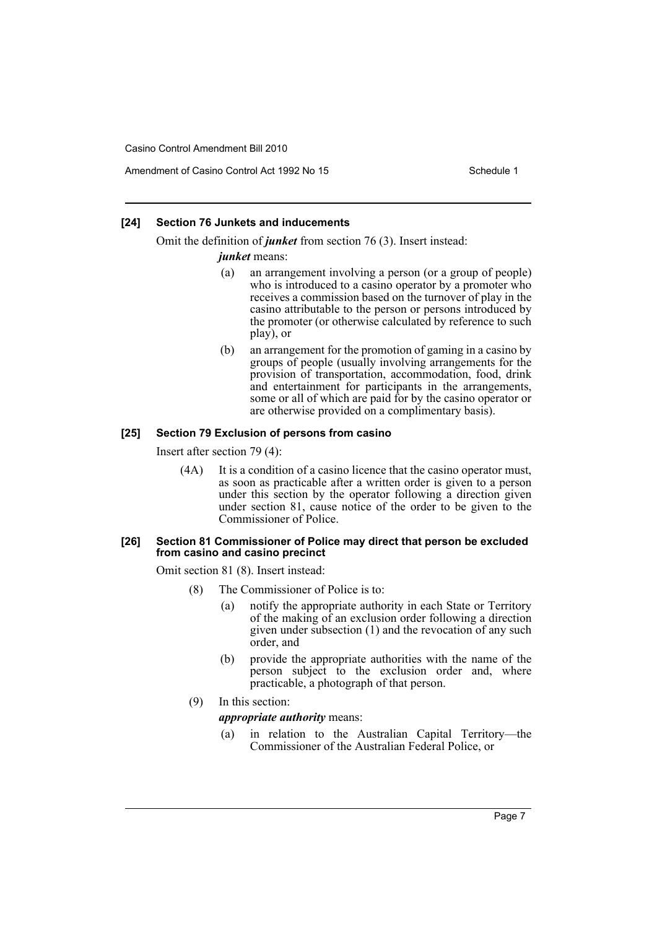Amendment of Casino Control Act 1992 No 15 Schedule 1

#### **[24] Section 76 Junkets and inducements**

Omit the definition of *junket* from section 76 (3). Insert instead:

#### *junket* means:

- (a) an arrangement involving a person (or a group of people) who is introduced to a casino operator by a promoter who receives a commission based on the turnover of play in the casino attributable to the person or persons introduced by the promoter (or otherwise calculated by reference to such play), or
- (b) an arrangement for the promotion of gaming in a casino by groups of people (usually involving arrangements for the provision of transportation, accommodation, food, drink and entertainment for participants in the arrangements, some or all of which are paid for by the casino operator or are otherwise provided on a complimentary basis).

#### **[25] Section 79 Exclusion of persons from casino**

Insert after section 79 (4):

(4A) It is a condition of a casino licence that the casino operator must, as soon as practicable after a written order is given to a person under this section by the operator following a direction given under section 81, cause notice of the order to be given to the Commissioner of Police.

#### **[26] Section 81 Commissioner of Police may direct that person be excluded from casino and casino precinct**

Omit section 81 (8). Insert instead:

- (8) The Commissioner of Police is to:
	- (a) notify the appropriate authority in each State or Territory of the making of an exclusion order following a direction given under subsection (1) and the revocation of any such order, and
	- (b) provide the appropriate authorities with the name of the person subject to the exclusion order and, where practicable, a photograph of that person.

#### (9) In this section:

*appropriate authority* means:

(a) in relation to the Australian Capital Territory—the Commissioner of the Australian Federal Police, or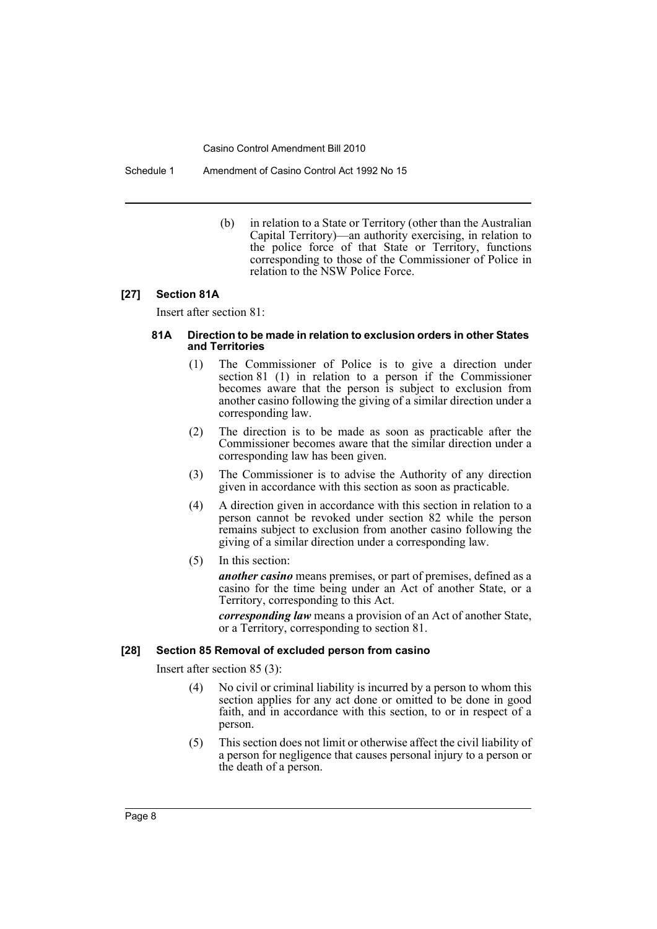Schedule 1 Amendment of Casino Control Act 1992 No 15

(b) in relation to a State or Territory (other than the Australian Capital Territory)—an authority exercising, in relation to the police force of that State or Territory, functions corresponding to those of the Commissioner of Police in relation to the NSW Police Force.

#### **[27] Section 81A**

Insert after section 81:

#### **81A Direction to be made in relation to exclusion orders in other States and Territories**

- (1) The Commissioner of Police is to give a direction under section 81 (1) in relation to a person if the Commissioner becomes aware that the person is subject to exclusion from another casino following the giving of a similar direction under a corresponding law.
- (2) The direction is to be made as soon as practicable after the Commissioner becomes aware that the similar direction under a corresponding law has been given.
- (3) The Commissioner is to advise the Authority of any direction given in accordance with this section as soon as practicable.
- (4) A direction given in accordance with this section in relation to a person cannot be revoked under section 82 while the person remains subject to exclusion from another casino following the giving of a similar direction under a corresponding law.
- (5) In this section:

*another casino* means premises, or part of premises, defined as a casino for the time being under an Act of another State, or a Territory, corresponding to this Act.

*corresponding law* means a provision of an Act of another State, or a Territory, corresponding to section 81.

#### **[28] Section 85 Removal of excluded person from casino**

Insert after section 85 (3):

- (4) No civil or criminal liability is incurred by a person to whom this section applies for any act done or omitted to be done in good faith, and in accordance with this section, to or in respect of a person.
- (5) This section does not limit or otherwise affect the civil liability of a person for negligence that causes personal injury to a person or the death of a person.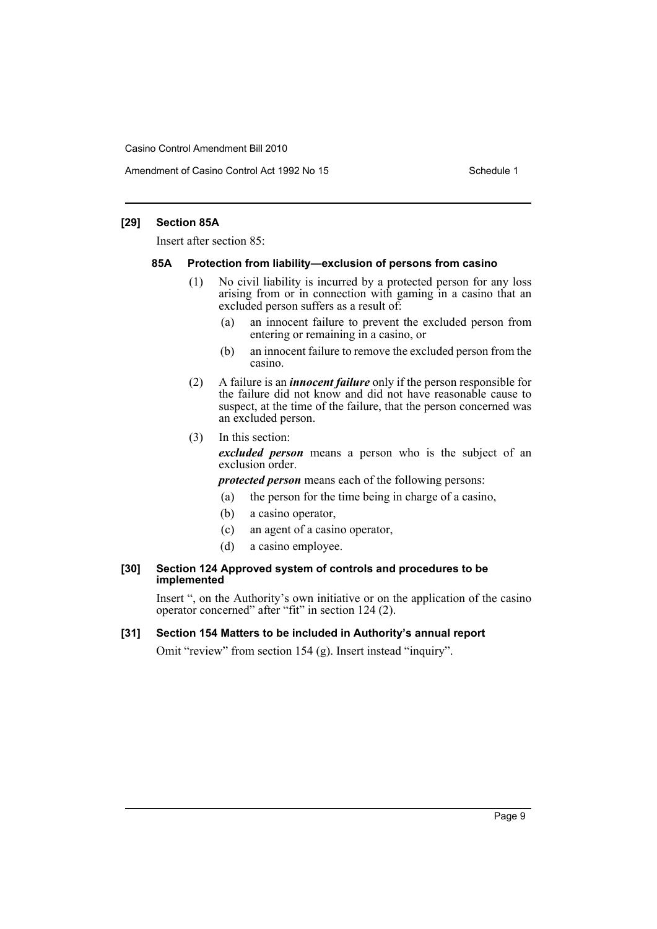Amendment of Casino Control Act 1992 No 15 Schedule 1

#### **[29] Section 85A**

Insert after section 85:

#### **85A Protection from liability—exclusion of persons from casino**

- (1) No civil liability is incurred by a protected person for any loss arising from or in connection with gaming in a casino that an excluded person suffers as a result of:
	- (a) an innocent failure to prevent the excluded person from entering or remaining in a casino, or
	- (b) an innocent failure to remove the excluded person from the casino.
- (2) A failure is an *innocent failure* only if the person responsible for the failure did not know and did not have reasonable cause to suspect, at the time of the failure, that the person concerned was an excluded person.
- (3) In this section:

*excluded person* means a person who is the subject of an exclusion order.

*protected person* means each of the following persons:

- (a) the person for the time being in charge of a casino,
- (b) a casino operator,
- (c) an agent of a casino operator,
- (d) a casino employee.

#### **[30] Section 124 Approved system of controls and procedures to be implemented**

Insert ", on the Authority's own initiative or on the application of the casino operator concerned" after "fit" in section 124 (2).

## **[31] Section 154 Matters to be included in Authority's annual report**

Omit "review" from section 154 (g). Insert instead "inquiry".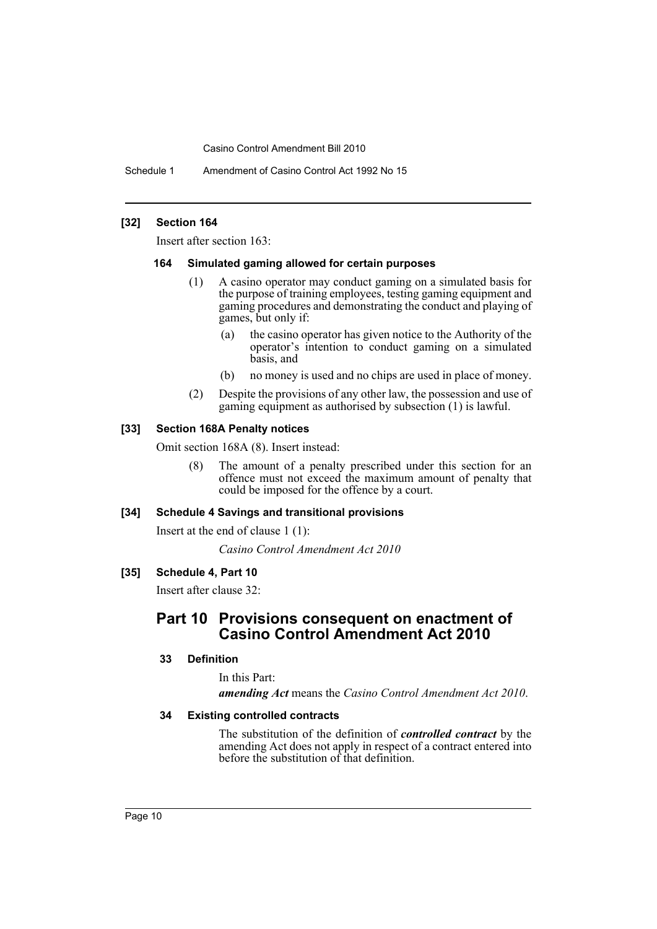Schedule 1 Amendment of Casino Control Act 1992 No 15

#### **[32] Section 164**

Insert after section 163:

#### **164 Simulated gaming allowed for certain purposes**

- (1) A casino operator may conduct gaming on a simulated basis for the purpose of training employees, testing gaming equipment and gaming procedures and demonstrating the conduct and playing of games, but only if:
	- (a) the casino operator has given notice to the Authority of the operator's intention to conduct gaming on a simulated basis, and
	- (b) no money is used and no chips are used in place of money.
- (2) Despite the provisions of any other law, the possession and use of gaming equipment as authorised by subsection (1) is lawful.

## **[33] Section 168A Penalty notices**

Omit section 168A (8). Insert instead:

(8) The amount of a penalty prescribed under this section for an offence must not exceed the maximum amount of penalty that could be imposed for the offence by a court.

## **[34] Schedule 4 Savings and transitional provisions**

Insert at the end of clause 1 (1):

*Casino Control Amendment Act 2010*

#### **[35] Schedule 4, Part 10**

Insert after clause 32:

## **Part 10 Provisions consequent on enactment of Casino Control Amendment Act 2010**

#### **33 Definition**

#### In this Part:

*amending Act* means the *Casino Control Amendment Act 2010*.

## **34 Existing controlled contracts**

The substitution of the definition of *controlled contract* by the amending Act does not apply in respect of a contract entered into before the substitution of that definition.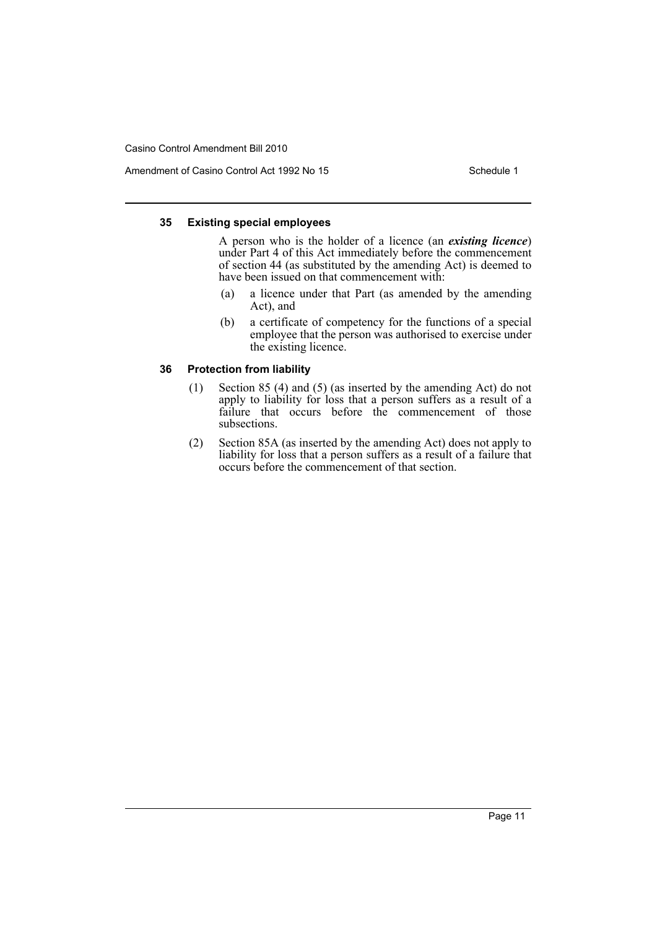Amendment of Casino Control Act 1992 No 15 Schedule 1

#### **35 Existing special employees**

A person who is the holder of a licence (an *existing licence*) under Part 4 of this Act immediately before the commencement of section 44 (as substituted by the amending Act) is deemed to have been issued on that commencement with:

- (a) a licence under that Part (as amended by the amending Act), and
- (b) a certificate of competency for the functions of a special employee that the person was authorised to exercise under the existing licence.

## **36 Protection from liability**

- (1) Section 85 (4) and (5) (as inserted by the amending Act) do not apply to liability for loss that a person suffers as a result of a failure that occurs before the commencement of those subsections.
- (2) Section 85A (as inserted by the amending Act) does not apply to liability for loss that a person suffers as a result of a failure that occurs before the commencement of that section.